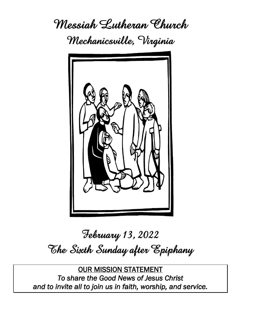**Messiah Lutheran Church Mechanicsville, Virginia**



# **February 13, 2022 The Sixth Sunday after Epiphany**

OUR MISSION STATEMENT *To share the Good News of Jesus Christ and to invite all to join us in faith, worship, and service.*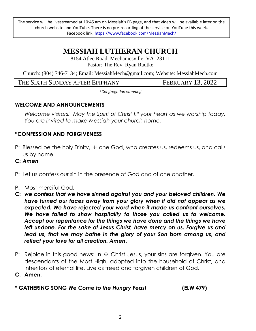The service will be livestreamed at 10:45 am on Messiah's FB page, and that video will be available later on the church website and YouTube. There is no pre-recording of the service on YouTube this week. Facebook link: https://www.facebook.com/MessiahMech/

# **MESSIAH LUTHERAN CHURCH**

8154 Atlee Road, Mechanicsville, VA 23111 Pastor: The Rev. Ryan Radtke

Church: (804) 746-7134; Email: MessiahMech@gmail.com; Website: MessiahMech.com

THE SIXTH SUNDAY AFTER EPIPHANY FEBRUARY 13, 2022

*\*Congregation standing*

# **WELCOME AND ANNOUNCEMENTS**

*Welcome visitors! May the Spirit of Christ fill your heart as we worship today. You are invited to make Messiah your church home.*

# **\*CONFESSION AND FORGIVENESS**

P: Blessed be the holy Trinity,  $\pm$  one God, who creates us, redeems us, and calls us by name.

# **C:** *Amen*

- P: Let us confess our sin in the presence of God and of one another.
- P: Most merciful God,
- **C:** *we confess that we have sinned against you and your beloved children. We have turned our faces away from your glory when it did not appear as we expected. We have rejected your word when it made us confront ourselves. We have failed to show hospitality to those you called us to welcome. Accept our repentance for the things we have done and the things we have left undone. For the sake of Jesus Christ, have mercy on us. Forgive us and lead us, that we may bathe in the glory of your Son born among us, and reflect your love for all creation. Amen***.**
- P: Rejoice in this good news: In  $\pm$  Christ Jesus, your sins are forgiven. You are descendants of the Most High, adopted into the household of Christ, and inheritors of eternal life. Live as freed and forgiven children of God.

**C: Amen.**

**\* GATHERING SONG** *We Come to the Hungry Feast* **(ELW 479)**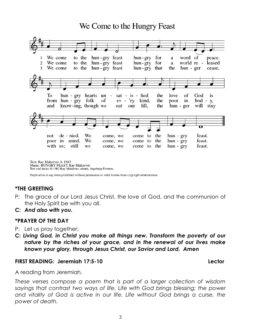# We Come to the Hungry Feast



Text: Ray Makeever, b. 1943 Music: HUNGRY FEAST, Ray Makeever Text and music @ 1982 Ray Makeever, admin. Augsburg Fortress.

Duplication in any form prohibited without permission or valid license from copyright administrator.

# **\*THE GREETING**

- P: The grace of our Lord Jesus Christ, the love of God, and the communion of the Holy Spirit be with you all.
- **C:** *And also with you.*

### **\*PRAYER OF THE DAY**

- P: Let us pray together:
- **C:** *Living God, in Christ you make all things new. Transform the poverty of our nature by the riches of your grace, and in the renewal of our lives make known your glory, through Jesus Christ, our Savior and Lord. Amen*

### **FIRST READING: Jeremiah 17:5-10 Lector**

A reading from Jeremiah.

*These verses compose a poem that is part of a larger collection of wisdom sayings that contrast two ways of life. Life with God brings blessing; the power*  and vitality of God is active in our life. Life without God brings a curse, the *power of death.*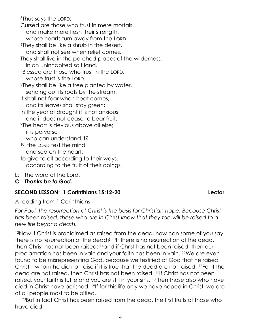<sup>5</sup>Thus says the LORD:

Cursed are those who trust in mere mortals and make mere flesh their strength, whose hearts turn away from the LORD.

<sup>6</sup>They shall be like a shrub in the desert,

and shall not see when relief comes.

They shall live in the parched places of the wilderness, in an uninhabited salt land.

<sup>7</sup>Blessed are those who trust in the LORD, whose trust is the LORD.

<sup>8</sup>They shall be like a tree planted by water, sending out its roots by the stream.

- It shall not fear when heat comes, and its leaves shall stay green;
- in the year of drought it is not anxious, and it does not cease to bear fruit.
- <sup>9</sup>The heart is devious above all else; it is perverse—

who can understand it?

<sup>10</sup>I the LORD test the mind

and search the heart,

- to give to all according to their ways, according to the fruit of their doings.
- L: The word of the Lord.
- **C:** *Thanks be to God.*

# **SECOND LESSON: 1 Corinthians 15:12-20 Lector**

A reading from 1 Corinthians.

*For Paul, the resurrection of Christ is the basis for Christian hope. Because Christ has been raised, those who are in Christ know that they too will be raised to a new life beyond death.*

<sup>12</sup>Now if Christ is proclaimed as raised from the dead, how can some of you say there is no resurrection of the dead? 13If there is no resurrection of the dead, then Christ has not been raised; 14and if Christ has not been raised, then our proclamation has been in vain and your faith has been in vain. 15We are even found to be misrepresenting God, because we testified of God that he raised Christ—whom he did not raise if it is true that the dead are not raised. 16For if the dead are not raised, then Christ has not been raised. 17If Christ has not been raised, your faith is futile and you are still in your sins. 18Then those also who have died in Christ have perished. <sup>19</sup>If for this life only we have hoped in Christ, we are of all people most to be pitied.

<sup>20</sup>But in fact Christ has been raised from the dead, the first fruits of those who have died.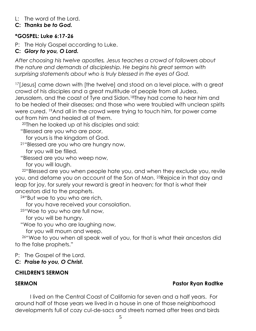# L: The word of the Lord.

# **C:** *Thanks be to God.*

# **\*GOSPEL: Luke 6:17-26**

P: The Holy Gospel according to Luke.

# **C:** *Glory to you, O Lord.*

*After choosing his twelve apostles, Jesus teaches a crowd of followers about the nature and demands of discipleship. He begins his great sermon with surprising statements about who is truly blessed in the eyes of God.*

<sup>17</sup>[Jesus] came down with [the twelve] and stood on a level place, with a great crowd of his disciples and a great multitude of people from all Judea, Jerusalem, and the coast of Tyre and Sidon.<sup>18</sup>They had come to hear him and to be healed of their diseases; and those who were troubled with unclean spirits were cured. 19And all in the crowd were trying to touch him, for power came out from him and healed all of them.

<sup>20</sup>Then he looked up at his disciples and said:

"Blessed are you who are poor,

for yours is the kingdom of God.

<sup>21</sup>"Blessed are you who are hungry now,

for you will be filled.

"Blessed are you who weep now,

for you will laugh.

<sup>22</sup>"Blessed are you when people hate you, and when they exclude you, revile you, and defame you on account of the Son of Man. 23Rejoice in that day and leap for joy, for surely your reward is great in heaven; for that is what their ancestors did to the prophets.

<sup>24</sup>"But woe to you who are rich,

for you have received your consolation.

<sup>25</sup>"Woe to you who are full now,

for you will be hungry.

"Woe to you who are laughing now,

for you will mourn and weep.

<sup>26</sup>"Woe to you when all speak well of you, for that is what their ancestors did to the false prophets."

P: The Gospel of the Lord.

# **C:** *Praise to you, O Christ.*

# **CHILDREN'S SERMON**

# **SERMON Pastor Ryan Radtke**

I lived on the Central Coast of California for seven and a half years. For around half of those years we lived in a house in one of those neighborhood developments full of cozy cul-de-sacs and streets named after trees and birds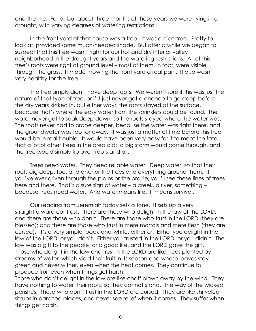and the like. For all but about three months of those years we were living in a drought, with varying degrees of watering restrictions.

In the front yard of that house was a tree. It was a nice tree. Pretty to look at, provided some much-needed shade. But after a while we began to suspect that this tree wasn't right for our hot and dry interior valley neighborhood in the drought years and the watering restrictions. All of this tree's roots were right at ground level – most of them, in fact, were visible through the grass. It made mowing the front yard a real pain. It also wasn't very healthy for the tree.

The tree simply didn't have deep roots. We weren't sure if this was just the nature of that type of tree, or if it just never got a chance to go deep before the dry years kicked in, but either way: the roots stayed at the surface, because that's where the easy water from the sprinklers could be found. The water never got to soak deep down, so the roots stayed where the water was. The roots never had to probe deeper, because the water was right there, and the groundwater was too far away. It was just a matter of time before this tree would be in real trouble. It would have been very easy for it to meet the fate that a lot of other trees in the area did: a big storm would come through, and the tree would simply tip over, roots and all.

Trees need water. They need reliable water. Deep water, so that their roots dig deep, too, and anchor the trees and everything around them. If you've ever driven through the plains or the prairie, you'll see these lines of trees here and there. That's a sure sign of water – a creek, a river, something – because trees need water. And water means life. It means survival.

Our reading from Jeremiah today sets a tone. It sets up a very straightforward contrast: there are those who delight in the law of the LORD; and there are those who don't. There are those who trust in the LORD (they are blessed); and there are those who trust in mere mortals and mere flesh (they are cursed). It's a very simple, back-and-white, either or. Either you delight in the law of the LORD; or you don't. Either you trusted in the LORD, or you didn't. The law was a gift to the people for a good life, and the LORD gave the gift. Those who delight in the law and trust in the LORD are like trees planted by streams of water, which yield their fruit in its season and whose leaves stay green and never wither, even when the heat comes. They continue to produce fruit even when things get harsh.

Those who don't delight in the law are like chaff blown away by the wind. They have nothing to water their roots, so they cannot stand. The way of the wicked perishes. Those who don't trust in the LORD are cursed. They are like shriveled shrubs in parched places, and never see relief when it comes. They suffer when things get harsh.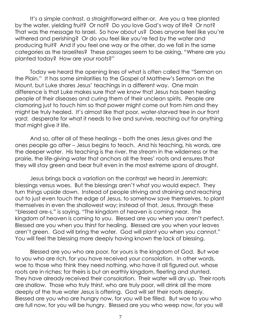It's a simple contrast, a straightforward either-or. Are you a tree planted by the water, yielding fruit? Or not? Do you love God's way of life? Or not? That was the message to Israel. So how about us? Does anyone feel like you're withered and perishing? Or do you feel like you're fed by the water and producing fruit? And if you feel one way or the other, do we fall in the same categories as the Israelites? These passages seem to be asking, "Where are you planted today? How are your roots?"

Today we heard the opening lines of what is often called the "Sermon on the Plain." It has some similarities to the Gospel of Matthew's Sermon on the Mount, but Luke shares Jesus' teachings in a different way. One main difference is that Luke makes sure that we know that Jesus has been healing people of their diseases and curing them of their unclean spirits. People are clamoring just to touch him so that power might come out from him and they might be truly healed. It's almost like that poor, water-starved tree in our front yard: desperate for what it needs to live and survive, reaching out for anything that might give it life.

And so, after all of these healings – both the ones Jesus gives and the ones people go after – Jesus begins to teach. And his teaching, his words, are the deeper water. His teaching is the river, the stream in the wilderness or the prairie, the life-giving water that anchors all the trees' roots and ensures that they will stay green and bear fruit even in the most extreme spans of drought.

Jesus brings back a variation on the contrast we heard in Jeremiah: blessings versus woes. But the blessings aren't what you would expect. They turn things upside down. Instead of people striving and straining and reaching out to just even touch the edge of Jesus, to somehow save themselves, to plant themselves in even the shallowest way; instead of that, Jesus, through these "blessed are-s," is saying, "The kingdom of heaven is coming near. The kingdom of heaven is coming to you. Blessed are you when you aren't perfect. Blessed are you when you thirst for healing. Blessed are you when your leaves aren't green. God will bring the water. God will plant you when you cannot." You will feel the blessing more deeply having known the lack of blessing.

Blessed are you who are poor, for yours is the kingdom of God. But woe to you who are rich, for you have received your consolation. In other words, woe to those who think they need nothing, who have it all figured out, whose roots are in riches; for theirs is but an earthly kingdom, fleeting and stunted. They have already received their consolation. Their water will dry up. Their roots are shallow. Those who truly thirst, who are truly poor, will drink all the more deeply of the true water Jesus is offering. God will set their roots deeply. Blessed are you who are hungry now, for you will be filled. But woe to you who are full now, for you will be hungry. Blessed are you who weep now, for you will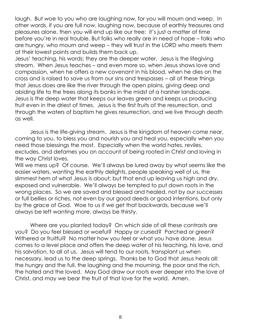laugh. But woe to you who are laughing now, for you will mourn and weep. In other words, if you are full now, laughing now, because of earthly treasures and pleasures alone, then you will end up like our tree: it's just a matter of time before you're in real trouble. But folks who really are in need of hope – folks who are hungry, who mourn and weep – they will trust in the LORD who meets them at their lowest points and builds them back up.

Jesus' teaching, his words: they are the deeper water. Jesus is the lifegiving stream. When Jesus teaches – and even more so, when Jesus shows love and compassion, when he offers a new covenant in his blood, when he dies on the cross and is raised to save us from our sins and trespasses – all of these things that Jesus does are like the river through the open plains, giving deep and abiding life to the trees along its banks in the midst of a harsher landscape. Jesus is the deep water that keeps our leaves green and keeps us producing fruit even in the driest of times. Jesus is the first fruits of the resurrection, and through the waters of baptism he gives resurrection, and we live through death as well.

Jesus is the life-giving stream. Jesus is the kingdom of heaven come near, coming to you, to bless you and nourish you and heal you, especially when you need those blessings the most. Especially when the world hates, reviles, excludes, and defames you on account of being rooted in Christ and loving in the way Christ loves.

Will we mess up? Of course. We'll always be lured away by what seems like the easier waters, wanting the earthly delights, people speaking well of us, the slimmest hem of what Jesus is about; but that end up leaving us high and dry, exposed and vulnerable. We'll always be tempted to put down roots in the wrong places. So we are saved and blessed and healed, not by our successes or full bellies or riches, not even by our good deeds or good intentions, but only by the grace of God. Woe to us if we get that backwards, because we'll always be left wanting more, always be thirsty.

Where are you planted today? On which side of all these contrasts are you? Do you feel blessed or woeful? Happy or cursed? Parched or green? Withered or fruitful? No matter how you feel or what you have done, Jesus comes to a level place and offers the deep water of his teaching, his love, and his salvation, to all of us. Jesus will tend to our roots, transplant us when necessary, lead us to the deep springs. Thanks be to God that Jesus heals all: the hungry and the full, the laughing and the mourning, the poor and the rich, the hated and the loved. May God draw our roots ever deeper into the love of Christ, and may we bear the fruit of that love for the world. Amen.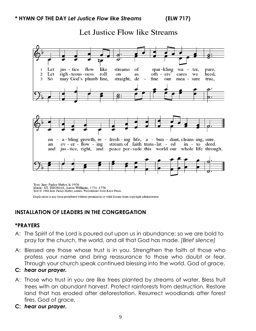Let Justice Flow like Streams



Text © 1984 Jane Parker Huber, admin. Westminster John Knox Press.

Duplication in any form prohibited without permission or valid license from copyright administrator.

# **INSTALLATION OF LEADERS IN THE CONGREGATION**

# **\*PRAYERS**

- A: The Spirit of the Lord is poured out upon us in abundance; so we are bold to pray for the church, the world, and all that God has made. *[Brief silence]*
- A: Blessed are those whose trust is in you. Strengthen the faith of those who profess your name and bring reassurance to those who doubt or fear. Through your church speak continued blessing into the world. God of grace,

# **C:** *hear our prayer.*

- A: Those who trust in you are like trees planted by streams of water. Bless fruit trees with an abundant harvest. Protect rainforests from destruction. Restore land that has eroded after deforestation. Resurrect woodlands after forest fires. God of grace,
- **C:** *hear our prayer.*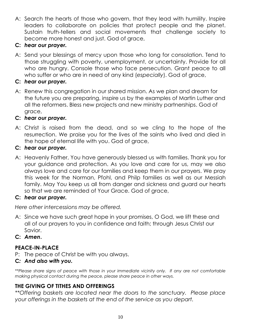A: Search the hearts of those who govern, that they lead with humility. Inspire leaders to collaborate on policies that protect people and the planet. Sustain truth-tellers and social movements that challenge society to become more honest and just. God of grace,

# **C:** *hear our prayer.*

A: Send your blessings of mercy upon those who long for consolation. Tend to those struggling with poverty, unemployment, or uncertainty. Provide for all who are hungry. Console those who face persecution. Grant peace to all who suffer or who are in need of any kind (*especially*). God of grace,

# **C:** *hear our prayer.*

A: Renew this congregation in our shared mission. As we plan and dream for the future you are preparing, inspire us by the examples of Martin Luther and all the reformers. Bless new projects and new ministry partnerships. God of grace,

# **C:** *hear our prayer.*

A: Christ is raised from the dead, and so we cling to the hope of the resurrection. We praise you for the lives of the saints who lived and died in the hope of eternal life with you. God of grace,

# **C:** *hear our prayer.*

A: Heavenly Father, You have generously blessed us with families. Thank you for your guidance and protection. As you love and care for us, may we also always love and care for our families and keep them in our prayers. We pray this week for the Norman, Pfohl, and Philp families as well as our Messiah family. May You keep us all from danger and sickness and guard our hearts so that we are reminded of Your Grace. God of grace,

# **C:** *hear our prayer.*

*Here other intercessions may be offered.*

- A: Since we have such great hope in your promises, O God, we lift these and all of our prayers to you in confidence and faith; through Jesus Christ our Savior.
- **C:** *Amen***.**

# **PEACE-IN-PLACE**

P: The peace of Christ be with you always.

# **C***: And also with you.*

*\*\*Please share signs of peace with those in your immediate vicinity only. If any are not comfortable making physical contact during the peace, please share peace in other ways.*

# **THE GIVING OF TITHES AND OFFERINGS**

*\*\*Offering baskets are located near the doors to the sanctuary. Please place your offerings in the baskets at the end of the service as you depart.*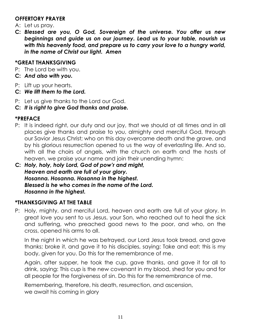# **OFFERTORY PRAYER**

- A: Let us pray.
- **C:** *Blessed are you, O God, Sovereign of the universe. You offer us new beginnings and guide us on our journey. Lead us to your table, nourish us with this heavenly food, and prepare us to carry your love to a hungry world, in the name of Christ our light. Amen*

# **\*GREAT THANKSGIVING**

- P: The Lord be with you.
- **C:** *And also with you.*
- P: Lift up your hearts.
- **C:** *We lift them to the Lord.*
- P: Let us give thanks to the Lord our God.
- **C:** *It is right to give God thanks and praise.*

# **\*PREFACE**

- P: It is indeed right, our duty and our joy, that we should at all times and in all places give thanks and praise to you, almighty and merciful God, through our Savior Jesus Christ; who on this day overcame death and the grave, and by his glorious resurrection opened to us the way of everlasting life. And so, with all the choirs of angels, with the church on earth and the hosts of heaven, we praise your name and join their unending hymn:
- **C:** *Holy, holy, holy Lord, God of pow'r and might, Heaven and earth are full of your glory. Hosanna. Hosanna. Hosanna in the highest. Blessed is he who comes in the name of the Lord. Hosanna in the highest.*

# **\*THANKSGIVING AT THE TABLE**

P: Holy, mighty, and merciful Lord, heaven and earth are full of your glory. In great love you sent to us Jesus, your Son, who reached out to heal the sick and suffering, who preached good news to the poor, and who, on the cross, opened his arms to all.

In the night in which he was betrayed, our Lord Jesus took bread, and gave thanks; broke it, and gave it to his disciples, saying: Take and eat; this is my body, given for you. Do this for the remembrance of me.

Again, after supper, he took the cup, gave thanks, and gave it for all to drink, saying: This cup is the new covenant in my blood, shed for you and for all people for the forgiveness of sin. Do this for the remembrance of me.

Remembering, therefore, his death, resurrection, and ascension, we await his coming in glory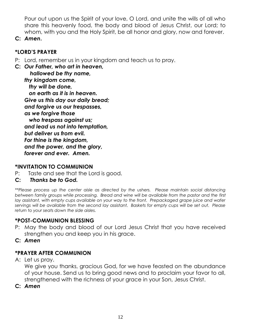Pour out upon us the Spirit of your love, O Lord, and unite the wills of all who share this heavenly food, the body and blood of Jesus Christ, our Lord; to whom, with you and the Holy Spirit, be all honor and glory, now and forever.

**C:** *Amen***.**

# **\*LORD'S PRAYER**

P: Lord, remember us in your kingdom and teach us to pray.

**C:** *Our Father, who art in heaven, hallowed be thy name, thy kingdom come, thy will be done, on earth as it is in heaven. Give us this day our daily bread; and forgive us our trespasses, as we forgive those who trespass against us; and lead us not into temptation, but deliver us from evil. For thine is the kingdom, and the power, and the glory, forever and ever. Amen.*

# **\*INVITATION TO COMMUNION**

- P: Taste and see that the Lord is good.
- **C:** *Thanks be to God.*

*\*\*Please process up the center aisle as directed by the ushers. Please maintain social distancing between family groups while processing. Bread and wine will be available from the pastor and the first*  lay assistant, with empty cups available on your way to the front. Prepackaged grape juice and wafer *servings will be available from the second lay assistant. Baskets for empty cups will be set out. Please return to your seats down the side aisles.*

# **\*POST-COMMUNION BLESSING**

- P: May the body and blood of our Lord Jesus Christ that you have received strengthen you and keep you in his grace.
- **C:** *Amen*

# **\*PRAYER AFTER COMMUNION**

A: Let us pray.

We give you thanks, gracious God, for we have feasted on the abundance of your house. Send us to bring good news and to proclaim your favor to all, strengthened with the richness of your grace in your Son, Jesus Christ.

**C:** *Amen*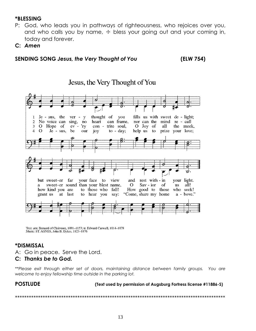# **\*BLESSING**

- P: God, who leads you in pathways of righteousness, who rejoices over you, and who calls you by name,  $\pm$  bless your going out and your coming in, today and forever.
- **C:** *Amen*

### **SENDING SONG** *Jesus, the Very Thought of You* **(ELW 754)**



Text: attr. Bernard of Clairvaux, 1091-1153; tr. Edward Caswall, 1814-1878 Music: ST. AGNES, John B. Dykes, 1823-1876

# **\*DISMISSAL**

A: Go in peace. Serve the Lord.

### **C:** *Thanks be to God.*

*\*\*Please exit through either set of doors, maintaining distance between family groups. You are welcome to enjoy fellowship time outside in the parking lot.*

**POSTLUDE (Text used by permission of Augsburg Fortress license #11886-S)**

\*\*\*\*\*\*\*\*\*\*\*\*\*\*\*\*\*\*\*\*\*\*\*\*\*\*\*\*\*\*\*\*\*\*\*\*\*\*\*\*\*\*\*\*\*\*\*\*\*\*\*\*\*\*\*\*\*\*\*\*\*\*\*\*\*\*\*\*\*\*\*\*\*\*\*\*\*\*\*\*\*\*\*\*\*\*\*\*\*\*\*